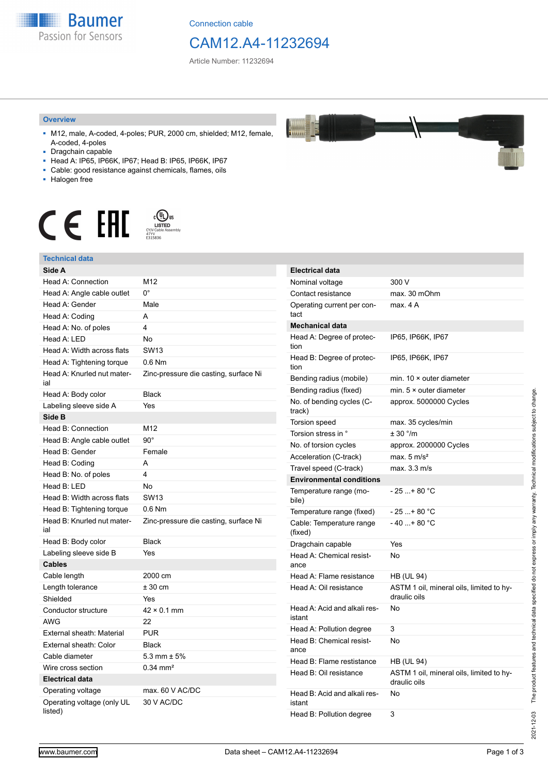

Connection cable

# CAM12.A4-11232694

Article Number: 11232694

#### **Overview**

- M12, male, A-coded, 4-poles; PUR, 2000 cm, shielded; M12, female, A-coded, 4-poles
- Dragchain capable
- Head A: IP65, IP66K, IP67; Head B: IP65, IP66K, IP67
- Cable: good resistance against chemicals, flames, oils
- Halogen free



#### **Technical data**

| Technical data                        |                                       |
|---------------------------------------|---------------------------------------|
| Side A                                |                                       |
| Head A: Connection                    | M12                                   |
| Head A: Angle cable outlet            | $0^{\circ}$                           |
| Head A: Gender                        | Male                                  |
| Head A: Coding                        | A                                     |
| Head A: No. of poles                  | 4                                     |
| Head A: LED                           | No                                    |
| Head A: Width across flats            | <b>SW13</b>                           |
| Head A: Tightening torque             | $0.6$ Nm                              |
| Head A: Knurled nut mater-<br>ial     | Zinc-pressure die casting, surface Ni |
| Head A: Body color                    | <b>Black</b>                          |
| Labeling sleeve side A                | Yes                                   |
| Side B                                |                                       |
| Head B: Connection                    | M12                                   |
| Head B: Angle cable outlet            | $90^{\circ}$                          |
| Head B: Gender                        | Female                                |
| Head B: Coding                        | A                                     |
| Head B: No. of poles                  | 4                                     |
| Head B: LED                           | No                                    |
| Head B: Width across flats            | <b>SW13</b>                           |
| Head B: Tightening torque             | $0.6$ Nm                              |
| Head B: Knurled nut mater-<br>ial     | Zinc-pressure die casting, surface Ni |
| Head B: Body color                    | <b>Black</b>                          |
| Labeling sleeve side B                | Yes                                   |
| <b>Cables</b>                         |                                       |
| Cable length                          | 2000 cm                               |
| Length tolerance                      | $± 30$ cm                             |
| Shielded                              | Yes                                   |
| Conductor structure                   | $42 \times 0.1$ mm                    |
| AWG                                   | 22                                    |
| External sheath: Material             | <b>PUR</b>                            |
| External sheath: Color                | <b>Black</b>                          |
| Cable diameter                        | 5.3 mm $\pm$ 5%                       |
| Wire cross section                    | $0.34$ mm <sup>2</sup>                |
| <b>Electrical data</b>                |                                       |
| Operating voltage                     | max. 60 V AC/DC                       |
| Operating voltage (only UL<br>listed) | 30 V AC/DC                            |

| <b>Electrical data</b>                 |                                                          |
|----------------------------------------|----------------------------------------------------------|
| Nominal voltage                        | 300 V                                                    |
| Contact resistance                     | max. 30 mOhm                                             |
| Operating current per con-<br>tact     | max. 4 A                                                 |
| Mechanical data                        |                                                          |
| Head A: Degree of protec-<br>tion      | IP65, IP66K, IP67                                        |
| Head B: Degree of protec-<br>tion      | IP65, IP66K, IP67                                        |
| Bending radius (mobile)                | min. $10 \times$ outer diameter                          |
| Bending radius (fixed)                 | min. $5 \times$ outer diameter                           |
| No. of bending cycles (C-<br>track)    | approx. 5000000 Cycles                                   |
| Torsion speed                          | max. 35 cycles/min                                       |
| Torsion stress in °                    | ± 30 °/m                                                 |
| No. of torsion cycles                  | approx. 2000000 Cycles                                   |
| Acceleration (C-track)                 | max. $5 \text{ m/s}^2$                                   |
| Travel speed (C-track)                 | max. 3.3 m/s                                             |
| <b>Environmental conditions</b>        |                                                          |
| Temperature range (mo-<br>bile)        | - 25 + 80 °C                                             |
| Temperature range (fixed)              | $-25+80 °C$                                              |
| Cable: Temperature range<br>(fixed)    | $-40+80 °C$                                              |
| Dragchain capable                      | Yes                                                      |
| Head A: Chemical resist-<br>ance       | No                                                       |
| Head A: Flame resistance               | HB (UL 94)                                               |
| Head A: Oil resistance                 | ASTM 1 oil, mineral oils, limited to hy-<br>draulic oils |
| Head A: Acid and alkali res-<br>istant | No                                                       |
| Head A: Pollution degree               | 3                                                        |
| Head B: Chemical resist-<br>ance       | No                                                       |
| Head B: Flame restistance              | HB (UL 94)                                               |
| Head B: Oil resistance                 | ASTM 1 oil, mineral oils, limited to hy-<br>draulic oils |
| Head B: Acid and alkali res-<br>istant | No                                                       |
| Head B: Pollution degree               | 3                                                        |

2021-12-03

2021-12-03 The product features and technical data specified do not express or imply any warranty. Technical modifications subject to change.

The product features and technical data specified do not express or imply any warranty. Technical modifications subject to change.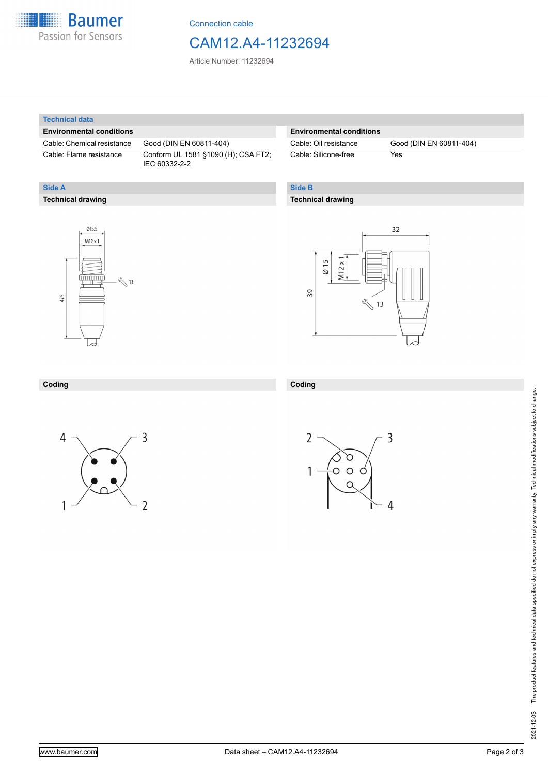

Connection cable

# CAM12.A4-11232694

Article Number: 11232694

#### **Technical data**

**Technical drawing**

**Side A**

## **Environmental conditions**

Cable: Chemical resistance Good (DIN EN 60811-404)

Cable: Flame resistance Conform UL 1581 §1090 (H); CSA FT2; IEC 60332-2-2

## **Environmental conditions**

Cable: Silicone-free Yes

Cable: Oil resistance Good (DIN EN 60811-404)

# **Side B**

## **Technical drawing**





#### **Coding**





**Coding**